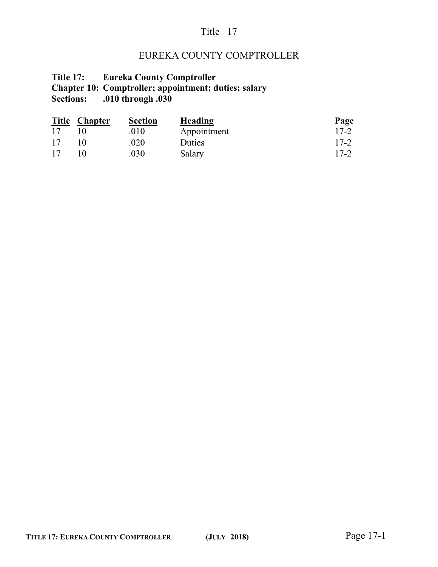### Title 17

# EUREKA COUNTY COMPTROLLER

#### **Title 17: Eureka County Comptroller Chapter 10: Comptroller; appointment; duties; salary Sections: .010 through .030**

|    | Title Chapter | <b>Section</b> | Heading     | <b>Page</b> |
|----|---------------|----------------|-------------|-------------|
| 17 |               | .010           | Appointment | $17 - 2$    |
| 17 |               | .020           | Duties      | $17 - 2$    |
| 17 |               | .030           | Salary      | $17 - 2$    |